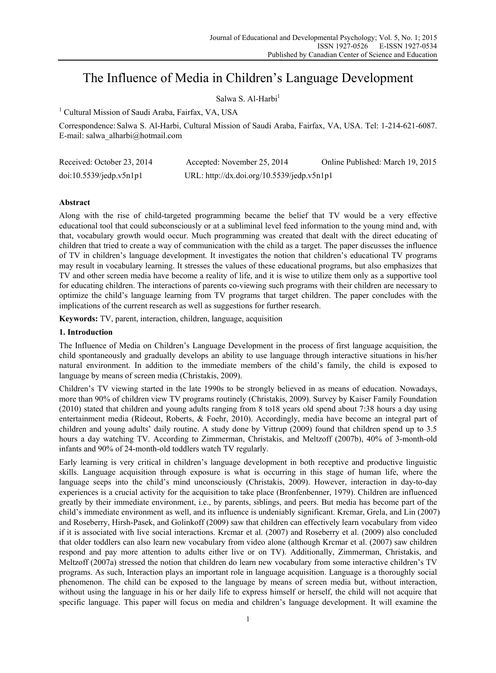# The Influence of Media in Children's Language Development

Salwa S. Al-Harbi<sup>1</sup>

<sup>1</sup> Cultural Mission of Saudi Araba, Fairfax, VA, USA

Correspondence: Salwa S. Al-Harbi, Cultural Mission of Saudi Araba, Fairfax, VA, USA. Tel: 1-214-621-6087. E-mail: salwa\_alharbi@hotmail.com

| Received: October 23, 2014 | Accepted: November 25, 2014                | Online Published: March 19, 2015 |
|----------------------------|--------------------------------------------|----------------------------------|
| $doi:10.5539/j$ edp.v5n1p1 | URL: http://dx.doi.org/10.5539/jedp.v5n1p1 |                                  |

## **Abstract**

Along with the rise of child-targeted programming became the belief that TV would be a very effective educational tool that could subconsciously or at a subliminal level feed information to the young mind and, with that, vocabulary growth would occur. Much programming was created that dealt with the direct educating of children that tried to create a way of communication with the child as a target. The paper discusses the influence of TV in children's language development. It investigates the notion that children's educational TV programs may result in vocabulary learning. It stresses the values of these educational programs, but also emphasizes that TV and other screen media have become a reality of life, and it is wise to utilize them only as a supportive tool for educating children. The interactions of parents co-viewing such programs with their children are necessary to optimize the child's language learning from TV programs that target children. The paper concludes with the implications of the current research as well as suggestions for further research.

**Keywords:** TV, parent, interaction, children, language, acquisition

## **1. Introduction**

The Influence of Media on Children's Language Development in the process of first language acquisition, the child spontaneously and gradually develops an ability to use language through interactive situations in his/her natural environment. In addition to the immediate members of the child's family, the child is exposed to language by means of screen media (Christakis, 2009).

Children's TV viewing started in the late 1990s to be strongly believed in as means of education. Nowadays, more than 90% of children view TV programs routinely (Christakis, 2009). Survey by Kaiser Family Foundation (2010) stated that children and young adults ranging from 8 to18 years old spend about 7:38 hours a day using entertainment media (Rideout, Roberts, & Foehr, 2010). Accordingly, media have become an integral part of children and young adults' daily routine. A study done by Vittrup (2009) found that children spend up to 3.5 hours a day watching TV. According to Zimmerman, Christakis, and Meltzoff (2007b), 40% of 3-month-old infants and 90% of 24-month-old toddlers watch TV regularly.

Early learning is very critical in children's language development in both receptive and productive linguistic skills. Language acquisition through exposure is what is occurring in this stage of human life, where the language seeps into the child's mind unconsciously (Christakis, 2009). However, interaction in day-to-day experiences is a crucial activity for the acquisition to take place (Bronfenbenner, 1979). Children are influenced greatly by their immediate environment, i.e., by parents, siblings, and peers. But media has become part of the child's immediate environment as well, and its influence is undeniably significant. Krcmar, Grela, and Lin (2007) and Roseberry, Hirsh-Pasek, and Golinkoff (2009) saw that children can effectively learn vocabulary from video if it is associated with live social interactions. Krcmar et al. (2007) and Roseberry et al. (2009) also concluded that older toddlers can also learn new vocabulary from video alone (although Krcmar et al. (2007) saw children respond and pay more attention to adults either live or on TV). Additionally, Zimmerman, Christakis, and Meltzoff (2007a) stressed the notion that children do learn new vocabulary from some interactive children's TV programs. As such, Interaction plays an important role in language acquisition. Language is a thoroughly social phenomenon. The child can be exposed to the language by means of screen media but, without interaction, without using the language in his or her daily life to express himself or herself, the child will not acquire that specific language. This paper will focus on media and children's language development. It will examine the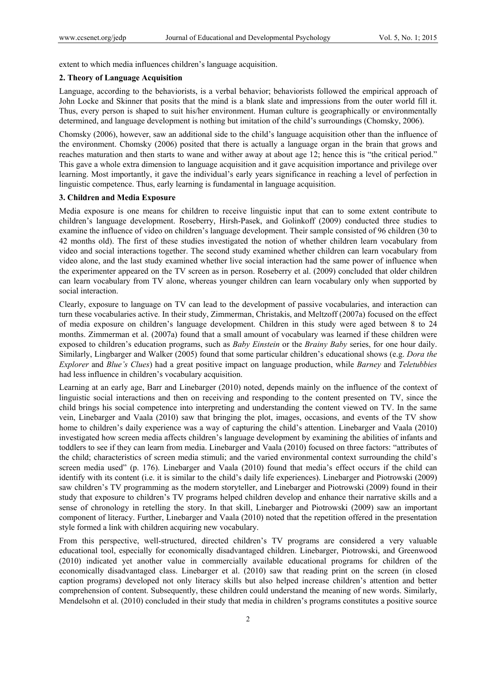extent to which media influences children's language acquisition.

#### **2. Theory of Language Acquisition**

Language, according to the behaviorists, is a verbal behavior; behaviorists followed the empirical approach of John Locke and Skinner that posits that the mind is a blank slate and impressions from the outer world fill it. Thus, every person is shaped to suit his/her environment. Human culture is geographically or environmentally determined, and language development is nothing but imitation of the child's surroundings (Chomsky, 2006).

Chomsky (2006), however, saw an additional side to the child's language acquisition other than the influence of the environment. Chomsky (2006) posited that there is actually a language organ in the brain that grows and reaches maturation and then starts to wane and wither away at about age 12; hence this is "the critical period." This gave a whole extra dimension to language acquisition and it gave acquisition importance and privilege over learning. Most importantly, it gave the individual's early years significance in reaching a level of perfection in linguistic competence. Thus, early learning is fundamental in language acquisition.

### **3. Children and Media Exposure**

Media exposure is one means for children to receive linguistic input that can to some extent contribute to children's language development. Roseberry, Hirsh-Pasek, and Golinkoff (2009) conducted three studies to examine the influence of video on children's language development. Their sample consisted of 96 children (30 to 42 months old). The first of these studies investigated the notion of whether children learn vocabulary from video and social interactions together. The second study examined whether children can learn vocabulary from video alone, and the last study examined whether live social interaction had the same power of influence when the experimenter appeared on the TV screen as in person. Roseberry et al. (2009) concluded that older children can learn vocabulary from TV alone, whereas younger children can learn vocabulary only when supported by social interaction.

Clearly, exposure to language on TV can lead to the development of passive vocabularies, and interaction can turn these vocabularies active. In their study, Zimmerman, Christakis, and Meltzoff (2007a) focused on the effect of media exposure on children's language development. Children in this study were aged between 8 to 24 months. Zimmerman et al. (2007a) found that a small amount of vocabulary was learned if these children were exposed to children's education programs, such as *Baby Einstein* or the *Brainy Baby* series, for one hour daily. Similarly, Lingbarger and Walker (2005) found that some particular children's educational shows (e.g. *Dora the Explorer* and *Blue's Clues*) had a great positive impact on language production, while *Barney* and *Teletubbies* had less influence in children's vocabulary acquisition.

Learning at an early age, Barr and Linebarger (2010) noted, depends mainly on the influence of the context of linguistic social interactions and then on receiving and responding to the content presented on TV, since the child brings his social competence into interpreting and understanding the content viewed on TV. In the same vein, Linebarger and Vaala (2010) saw that bringing the plot, images, occasions, and events of the TV show home to children's daily experience was a way of capturing the child's attention. Linebarger and Vaala (2010) investigated how screen media affects children's language development by examining the abilities of infants and toddlers to see if they can learn from media. Linebarger and Vaala (2010) focused on three factors: "attributes of the child; characteristics of screen media stimuli; and the varied environmental context surrounding the child's screen media used" (p. 176). Linebarger and Vaala (2010) found that media's effect occurs if the child can identify with its content (i.e. it is similar to the child's daily life experiences). Linebarger and Piotrowski (2009) saw children's TV programming as the modern storyteller, and Linebarger and Piotrowski (2009) found in their study that exposure to children's TV programs helped children develop and enhance their narrative skills and a sense of chronology in retelling the story. In that skill, Linebarger and Piotrowski (2009) saw an important component of literacy. Further, Linebarger and Vaala (2010) noted that the repetition offered in the presentation style formed a link with children acquiring new vocabulary.

From this perspective, well-structured, directed children's TV programs are considered a very valuable educational tool, especially for economically disadvantaged children. Linebarger, Piotrowski, and Greenwood (2010) indicated yet another value in commercially available educational programs for children of the economically disadvantaged class. Linebarger et al. (2010) saw that reading print on the screen (in closed caption programs) developed not only literacy skills but also helped increase children's attention and better comprehension of content. Subsequently, these children could understand the meaning of new words. Similarly, Mendelsohn et al. (2010) concluded in their study that media in children's programs constitutes a positive source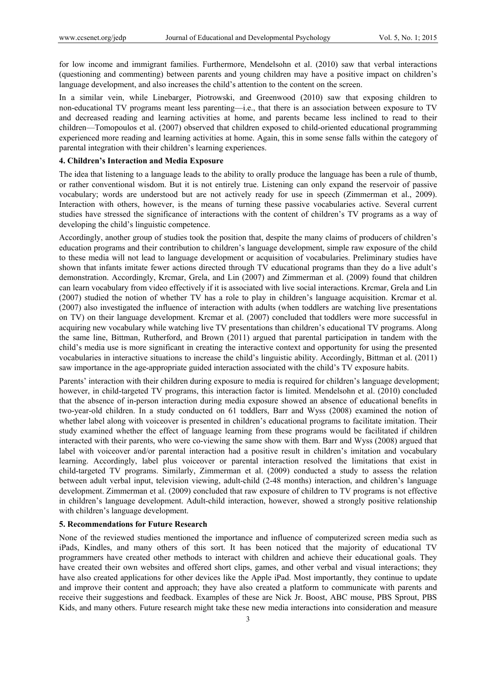for low income and immigrant families. Furthermore, Mendelsohn et al. (2010) saw that verbal interactions (questioning and commenting) between parents and young children may have a positive impact on children's language development, and also increases the child's attention to the content on the screen.

In a similar vein, while Linebarger, Piotrowski, and Greenwood (2010) saw that exposing children to non-educational TV programs meant less parenting—i.e., that there is an association between exposure to TV and decreased reading and learning activities at home, and parents became less inclined to read to their children—Tomopoulos et al. (2007) observed that children exposed to child-oriented educational programming experienced more reading and learning activities at home. Again, this in some sense falls within the category of parental integration with their children's learning experiences.

#### **4. Children's Interaction and Media Exposure**

The idea that listening to a language leads to the ability to orally produce the language has been a rule of thumb, or rather conventional wisdom. But it is not entirely true. Listening can only expand the reservoir of passive vocabulary; words are understood but are not actively ready for use in speech (Zimmerman et al., 2009). Interaction with others, however, is the means of turning these passive vocabularies active. Several current studies have stressed the significance of interactions with the content of children's TV programs as a way of developing the child's linguistic competence.

Accordingly, another group of studies took the position that, despite the many claims of producers of children's education programs and their contribution to children's language development, simple raw exposure of the child to these media will not lead to language development or acquisition of vocabularies. Preliminary studies have shown that infants imitate fewer actions directed through TV educational programs than they do a live adult's demonstration. Accordingly, Krcmar, Grela, and Lin (2007) and Zimmerman et al. (2009) found that children can learn vocabulary from video effectively if it is associated with live social interactions. Krcmar, Grela and Lin (2007) studied the notion of whether TV has a role to play in children's language acquisition. Krcmar et al. (2007) also investigated the influence of interaction with adults (when toddlers are watching live presentations on TV) on their language development. Krcmar et al. (2007) concluded that toddlers were more successful in acquiring new vocabulary while watching live TV presentations than children's educational TV programs. Along the same line, Bittman, Rutherford, and Brown (2011) argued that parental participation in tandem with the child's media use is more significant in creating the interactive context and opportunity for using the presented vocabularies in interactive situations to increase the child's linguistic ability. Accordingly, Bittman et al. (2011) saw importance in the age-appropriate guided interaction associated with the child's TV exposure habits.

Parents' interaction with their children during exposure to media is required for children's language development; however, in child-targeted TV programs, this interaction factor is limited. Mendelsohn et al. (2010) concluded that the absence of in-person interaction during media exposure showed an absence of educational benefits in two-year-old children. In a study conducted on 61 toddlers, Barr and Wyss (2008) examined the notion of whether label along with voice over is presented in children's educational programs to facilitate imitation. Their study examined whether the effect of language learning from these programs would be facilitated if children interacted with their parents, who were co-viewing the same show with them. Barr and Wyss (2008) argued that label with voiceover and/or parental interaction had a positive result in children's imitation and vocabulary learning. Accordingly, label plus voiceover or parental interaction resolved the limitations that exist in child-targeted TV programs. Similarly, Zimmerman et al. (2009) conducted a study to assess the relation between adult verbal input, television viewing, adult-child (2-48 months) interaction, and children's language development. Zimmerman et al. (2009) concluded that raw exposure of children to TV programs is not effective in children's language development. Adult-child interaction, however, showed a strongly positive relationship with children's language development.

#### **5. Recommendations for Future Research**

None of the reviewed studies mentioned the importance and influence of computerized screen media such as iPads, Kindles, and many others of this sort. It has been noticed that the majority of educational TV programmers have created other methods to interact with children and achieve their educational goals. They have created their own websites and offered short clips, games, and other verbal and visual interactions; they have also created applications for other devices like the Apple iPad. Most importantly, they continue to update and improve their content and approach; they have also created a platform to communicate with parents and receive their suggestions and feedback. Examples of these are Nick Jr. Boost, ABC mouse, PBS Sprout, PBS Kids, and many others. Future research might take these new media interactions into consideration and measure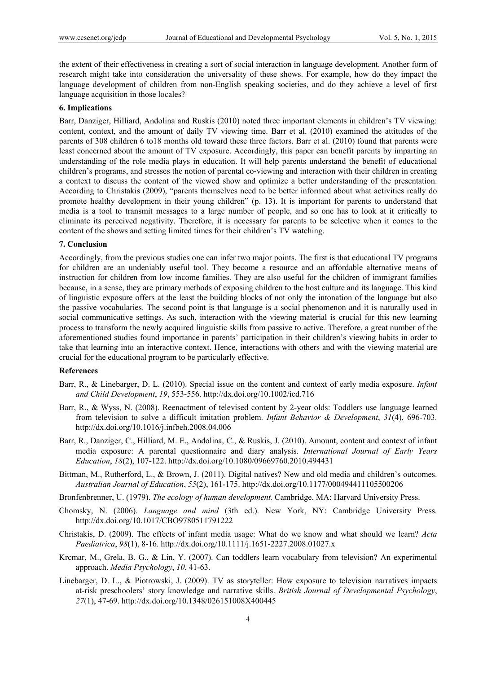the extent of their effectiveness in creating a sort of social interaction in language development. Another form of research might take into consideration the universality of these shows. For example, how do they impact the language development of children from non-English speaking societies, and do they achieve a level of first language acquisition in those locales?

#### **6. Implications**

Barr, Danziger, Hilliard, Andolina and Ruskis (2010) noted three important elements in children's TV viewing: content, context, and the amount of daily TV viewing time. Barr et al. (2010) examined the attitudes of the parents of 308 children 6 to18 months old toward these three factors. Barr et al. (2010) found that parents were least concerned about the amount of TV exposure. Accordingly, this paper can benefit parents by imparting an understanding of the role media plays in education. It will help parents understand the benefit of educational children's programs, and stresses the notion of parental co-viewing and interaction with their children in creating a context to discuss the content of the viewed show and optimize a better understanding of the presentation. According to Christakis (2009), "parents themselves need to be better informed about what activities really do promote healthy development in their young children" (p. 13). It is important for parents to understand that media is a tool to transmit messages to a large number of people, and so one has to look at it critically to eliminate its perceived negativity. Therefore, it is necessary for parents to be selective when it comes to the content of the shows and setting limited times for their children's TV watching.

#### **7. Conclusion**

Accordingly, from the previous studies one can infer two major points. The first is that educational TV programs for children are an undeniably useful tool. They become a resource and an affordable alternative means of instruction for children from low income families. They are also useful for the children of immigrant families because, in a sense, they are primary methods of exposing children to the host culture and its language. This kind of linguistic exposure offers at the least the building blocks of not only the intonation of the language but also the passive vocabularies. The second point is that language is a social phenomenon and it is naturally used in social communicative settings. As such, interaction with the viewing material is crucial for this new learning process to transform the newly acquired linguistic skills from passive to active. Therefore, a great number of the aforementioned studies found importance in parents' participation in their children's viewing habits in order to take that learning into an interactive context. Hence, interactions with others and with the viewing material are crucial for the educational program to be particularly effective.

#### **References**

- Barr, R., & Linebarger, D. L. (2010). Special issue on the content and context of early media exposure. *Infant and Child Development*, *19*, 553-556. http://dx.doi.org/10.1002/icd.716
- Barr, R., & Wyss, N. (2008). Reenactment of televised content by 2-year olds: Toddlers use language learned from television to solve a difficult imitation problem. *Infant Behavior & Development*, *31*(4), 696-703. http://dx.doi.org/10.1016/j.infbeh.2008.04.006
- Barr, R., Danziger, C., Hilliard, M. E., Andolina, C., & Ruskis, J. (2010). Amount, content and context of infant media exposure: A parental questionnaire and diary analysis. *International Journal of Early Years Education*, *18*(2), 107-122. http://dx.doi.org/10.1080/09669760.2010.494431
- Bittman, M., Rutherford, L., & Brown, J. (2011). Digital natives? New and old media and children's outcomes. *Australian Journal of Education*, *55*(2), 161-175. http://dx.doi.org/10.1177/000494411105500206
- Bronfenbrenner, U. (1979). *The ecology of human development.* Cambridge, MA: Harvard University Press.
- Chomsky, N. (2006). *Language and mind* (3th ed.). New York, NY: Cambridge University Press. http://dx.doi.org/10.1017/CBO9780511791222
- Christakis, D. (2009). The effects of infant media usage: What do we know and what should we learn? *Acta Paediatrica*, *98*(1), 8-16. http://dx.doi.org/10.1111/j.1651-2227.2008.01027.x
- Krcmar, M., Grela, B. G., & Lin, Y. (2007). Can toddlers learn vocabulary from television? An experimental approach. *Media Psychology*, *10*, 41-63.
- Linebarger, D. L., & Piotrowski, J. (2009). TV as storyteller: How exposure to television narratives impacts at-risk preschoolers' story knowledge and narrative skills. *British Journal of Developmental Psychology*, *27*(1), 47-69. http://dx.doi.org/10.1348/026151008X400445